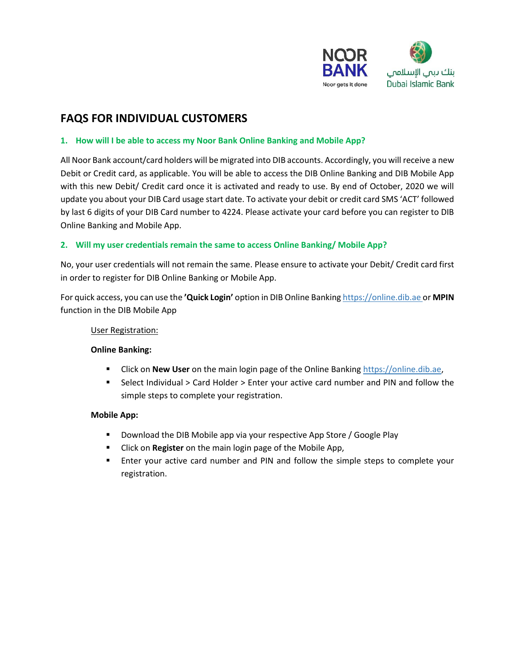

# **FAQS FOR INDIVIDUAL CUSTOMERS**

### **1. How will I be able to access my Noor Bank Online Banking and Mobile App?**

All Noor Bank account/card holders will be migrated into DIB accounts. Accordingly, you will receive a new Debit or Credit card, as applicable. You will be able to access the DIB Online Banking and DIB Mobile App with this new Debit/ Credit card once it is activated and ready to use. By end of October, 2020 we will update you about your DIB Card usage start date. To activate your debit or credit card SMS 'ACT' followed by last 6 digits of your DIB Card number to 4224. Please activate your card before you can register to DIB Online Banking and Mobile App.

### **2. Will my user credentials remain the same to access Online Banking/ Mobile App?**

No, your user credentials will not remain the same. Please ensure to activate your Debit/ Credit card first in order to register for DIB Online Banking or Mobile App.

For quick access, you can use the **'Quick Login'** option in DIB Online Banking [https://online.dib.ae o](ttps://online.dib.ae%20/)r **MPIN** function in the DIB Mobile App

### User Registration:

### **Online Banking:**

- Click on **New User** on the main login page of the Online Banking https://online.dib.ae,
- Select Individual > Card Holder > Enter your active card number and PIN and follow the simple steps to complete your registration.

### **Mobile App:**

- **Download the DIB Mobile app via your respective App Store / Google Play**
- Click on **Register** on the main login page of the Mobile App,
- **Enter your active card number and PIN and follow the simple steps to complete your** registration.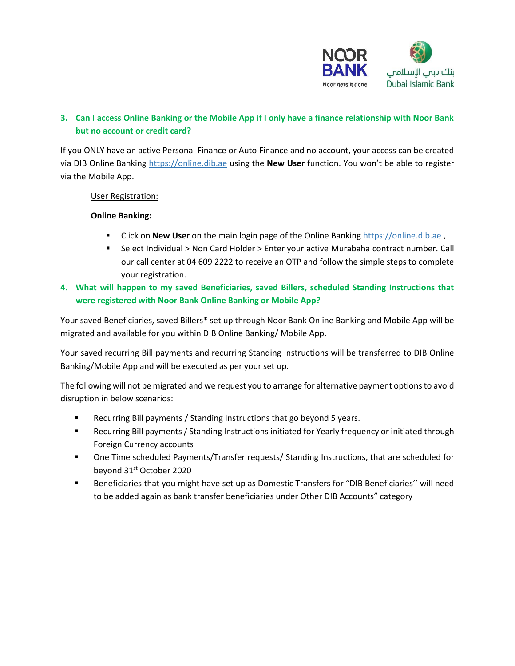

## **3. Can I access Online Banking or the Mobile App if I only have a finance relationship with Noor Bank but no account or credit card?**

If you ONLY have an active Personal Finance or Auto Finance and no account, your access can be created via DIB Online Banking https://online.dib.ae using the **New User** function. You won't be able to register via the Mobile App.

User Registration:

#### **Online Banking:**

- Click on **New User** on the main login page of the Online Banking [https://online.dib.ae ,](ttps://online.dib.ae%20/)
- Select Individual > Non Card Holder > Enter your active Murabaha contract number. Call our call center at 04 609 2222 to receive an OTP and follow the simple steps to complete your registration.
- **4. What will happen to my saved Beneficiaries, saved Billers, scheduled Standing Instructions that were registered with Noor Bank Online Banking or Mobile App?**

Your saved Beneficiaries, saved Billers\* set up through Noor Bank Online Banking and Mobile App will be migrated and available for you within DIB Online Banking/ Mobile App.

Your saved recurring Bill payments and recurring Standing Instructions will be transferred to DIB Online Banking/Mobile App and will be executed as per your set up.

The following will not be migrated and we request you to arrange for alternative payment options to avoid disruption in below scenarios:

- Recurring Bill payments / Standing Instructions that go beyond 5 years.
- Recurring Bill payments / Standing Instructions initiated for Yearly frequency or initiated through Foreign Currency accounts
- One Time scheduled Payments/Transfer requests/ Standing Instructions, that are scheduled for beyond 31st October 2020
- Beneficiaries that you might have set up as Domestic Transfers for "DIB Beneficiaries'' will need to be added again as bank transfer beneficiaries under Other DIB Accounts" category